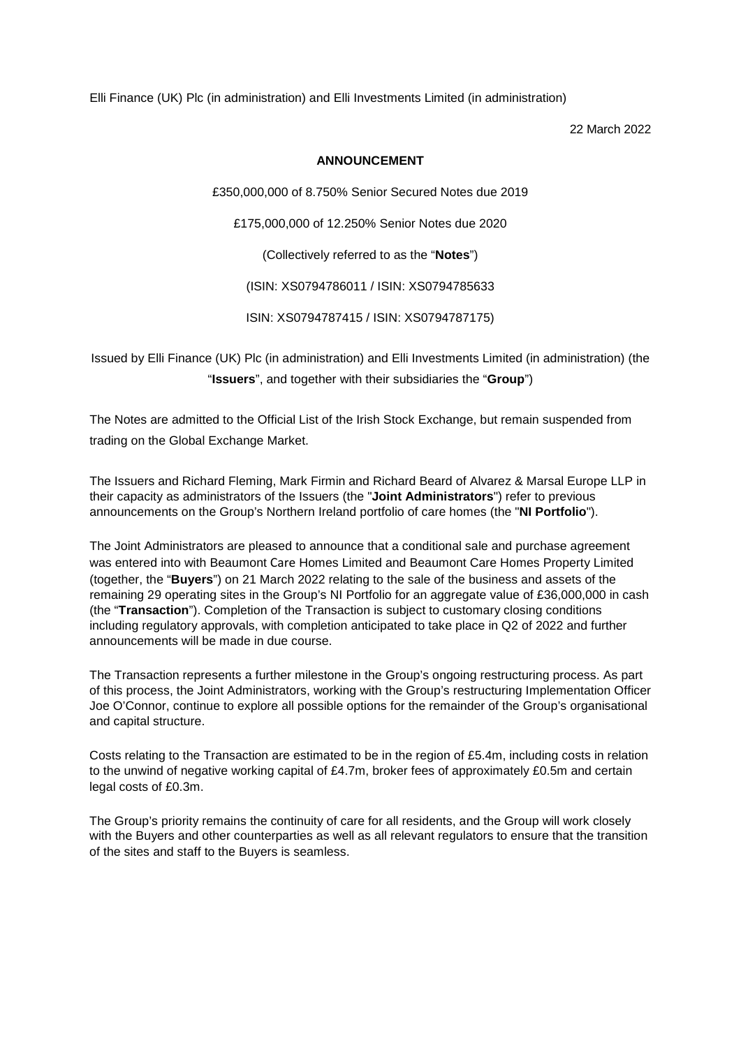Elli Finance (UK) Plc (in administration) and Elli Investments Limited (in administration)

22 March 2022

## **ANNOUNCEMENT**

£350,000,000 of 8.750% Senior Secured Notes due 2019

£175,000,000 of 12.250% Senior Notes due 2020

(Collectively referred to as the "**Notes**")

(ISIN: XS0794786011 / ISIN: XS0794785633

ISIN: XS0794787415 / ISIN: XS0794787175)

Issued by Elli Finance (UK) Plc (in administration) and Elli Investments Limited (in administration) (the "**Issuers**", and together with their subsidiaries the "**Group**")

The Notes are admitted to the Official List of the Irish Stock Exchange, but remain suspended from trading on the Global Exchange Market.

The Issuers and Richard Fleming, Mark Firmin and Richard Beard of Alvarez & Marsal Europe LLP in their capacity as administrators of the Issuers (the "**Joint Administrators**") refer to previous announcements on the Group's Northern Ireland portfolio of care homes (the "**NI Portfolio**").

The Joint Administrators are pleased to announce that a conditional sale and purchase agreement was entered into with Beaumont Care Homes Limited and Beaumont Care Homes Property Limited (together, the "**Buyers**") on 21 March 2022 relating to the sale of the business and assets of the remaining 29 operating sites in the Group's NI Portfolio for an aggregate value of £36,000,000 in cash (the "**Transaction**"). Completion of the Transaction is subject to customary closing conditions including regulatory approvals, with completion anticipated to take place in Q2 of 2022 and further announcements will be made in due course.

The Transaction represents a further milestone in the Group's ongoing restructuring process. As part of this process, the Joint Administrators, working with the Group's restructuring Implementation Officer Joe O'Connor, continue to explore all possible options for the remainder of the Group's organisational and capital structure.

Costs relating to the Transaction are estimated to be in the region of £5.4m, including costs in relation to the unwind of negative working capital of £4.7m, broker fees of approximately £0.5m and certain legal costs of £0.3m.

The Group's priority remains the continuity of care for all residents, and the Group will work closely with the Buyers and other counterparties as well as all relevant regulators to ensure that the transition of the sites and staff to the Buyers is seamless.